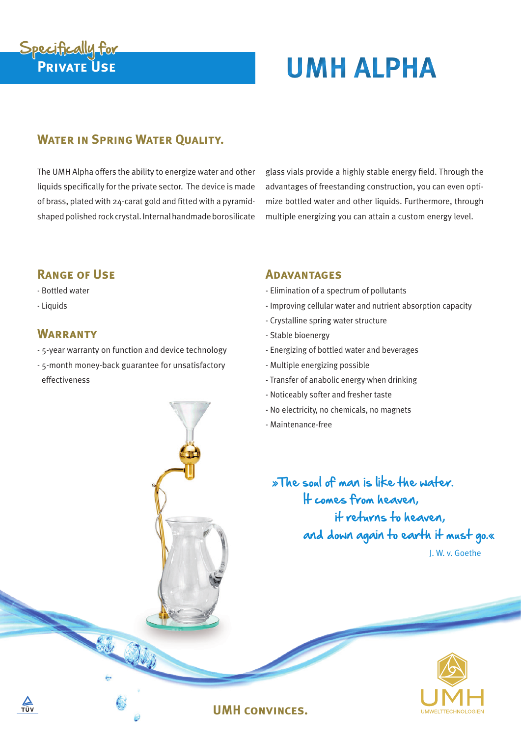# **Private Use UMH ALPHA** Specifically for

## **WATER IN SPRING WATER OUALITY.**

The UMH Alpha offers the ability to energize water and other liquids specifically for the private sector. The device is made of brass, plated with 24-carat gold and fitted with a pyramidshaped polished rock crystal. Internal handmade borosilicate glass vials provide a highly stable energy field. Through the advantages of freestanding construction, you can even optimize bottled water and other liquids. Furthermore, through multiple energizing you can attain a custom energy level.

### **Range of Use**

#### - Bottled water

- Liquids

#### **Warranty**

- 5-year warranty on function and device technology
- 5-month money-back guarantee for unsatisfactory effectiveness

#### **Adavantages**

- Elimination of a spectrum of pollutants
- Improving cellular water and nutrient absorption capacity
- Crystalline spring water structure
- Stable bioenergy
- Energizing of bottled water and beverages
- Multiple energizing possible
- Transfer of anabolic energy when drinking
- Noticeably softer and fresher taste
- No electricity, no chemicals, no magnets
- Maintenance-free

»The soul of man is like the water. It comes from heaven, it returns to heaven, and down again to earth it must go.« J. W. v. Goethe



#### **UMH convinces.**